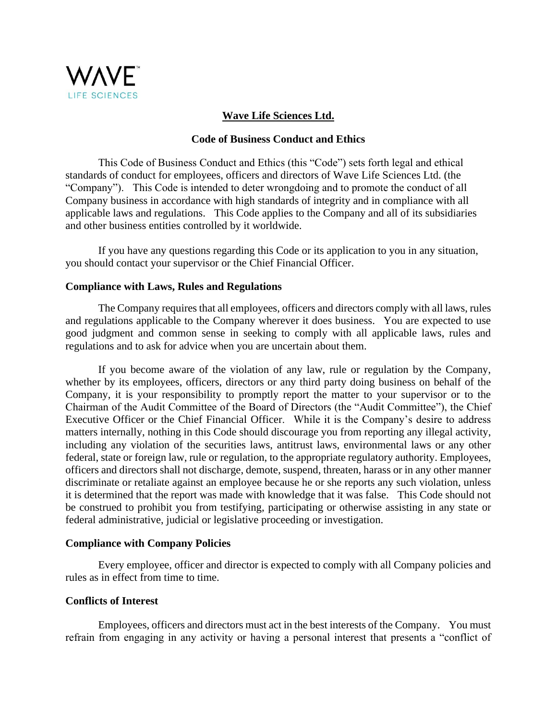

# **Wave Life Sciences Ltd.**

# **Code of Business Conduct and Ethics**

This Code of Business Conduct and Ethics (this "Code") sets forth legal and ethical standards of conduct for employees, officers and directors of Wave Life Sciences Ltd. (the "Company"). This Code is intended to deter wrongdoing and to promote the conduct of all Company business in accordance with high standards of integrity and in compliance with all applicable laws and regulations. This Code applies to the Company and all of its subsidiaries and other business entities controlled by it worldwide.

If you have any questions regarding this Code or its application to you in any situation, you should contact your supervisor or the Chief Financial Officer.

## **Compliance with Laws, Rules and Regulations**

The Company requires that all employees, officers and directors comply with all laws, rules and regulations applicable to the Company wherever it does business. You are expected to use good judgment and common sense in seeking to comply with all applicable laws, rules and regulations and to ask for advice when you are uncertain about them.

If you become aware of the violation of any law, rule or regulation by the Company, whether by its employees, officers, directors or any third party doing business on behalf of the Company, it is your responsibility to promptly report the matter to your supervisor or to the Chairman of the Audit Committee of the Board of Directors (the "Audit Committee"), the Chief Executive Officer or the Chief Financial Officer. While it is the Company's desire to address matters internally, nothing in this Code should discourage you from reporting any illegal activity, including any violation of the securities laws, antitrust laws, environmental laws or any other federal, state or foreign law, rule or regulation, to the appropriate regulatory authority. Employees, officers and directors shall not discharge, demote, suspend, threaten, harass or in any other manner discriminate or retaliate against an employee because he or she reports any such violation, unless it is determined that the report was made with knowledge that it was false. This Code should not be construed to prohibit you from testifying, participating or otherwise assisting in any state or federal administrative, judicial or legislative proceeding or investigation.

## **Compliance with Company Policies**

Every employee, officer and director is expected to comply with all Company policies and rules as in effect from time to time.

## **Conflicts of Interest**

Employees, officers and directors must act in the best interests of the Company. You must refrain from engaging in any activity or having a personal interest that presents a "conflict of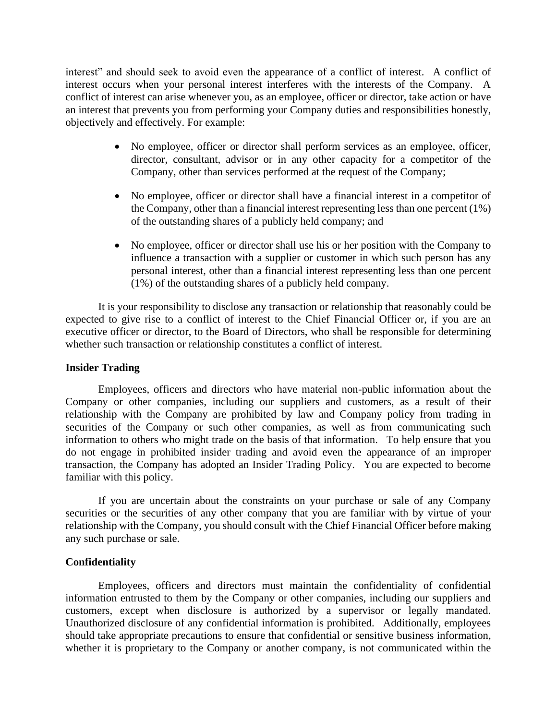interest" and should seek to avoid even the appearance of a conflict of interest. A conflict of interest occurs when your personal interest interferes with the interests of the Company. A conflict of interest can arise whenever you, as an employee, officer or director, take action or have an interest that prevents you from performing your Company duties and responsibilities honestly, objectively and effectively. For example:

- No employee, officer or director shall perform services as an employee, officer, director, consultant, advisor or in any other capacity for a competitor of the Company, other than services performed at the request of the Company;
- No employee, officer or director shall have a financial interest in a competitor of the Company, other than a financial interest representing less than one percent (1%) of the outstanding shares of a publicly held company; and
- No employee, officer or director shall use his or her position with the Company to influence a transaction with a supplier or customer in which such person has any personal interest, other than a financial interest representing less than one percent (1%) of the outstanding shares of a publicly held company.

It is your responsibility to disclose any transaction or relationship that reasonably could be expected to give rise to a conflict of interest to the Chief Financial Officer or, if you are an executive officer or director, to the Board of Directors, who shall be responsible for determining whether such transaction or relationship constitutes a conflict of interest.

# **Insider Trading**

Employees, officers and directors who have material non-public information about the Company or other companies, including our suppliers and customers, as a result of their relationship with the Company are prohibited by law and Company policy from trading in securities of the Company or such other companies, as well as from communicating such information to others who might trade on the basis of that information. To help ensure that you do not engage in prohibited insider trading and avoid even the appearance of an improper transaction, the Company has adopted an Insider Trading Policy. You are expected to become familiar with this policy.

If you are uncertain about the constraints on your purchase or sale of any Company securities or the securities of any other company that you are familiar with by virtue of your relationship with the Company, you should consult with the Chief Financial Officer before making any such purchase or sale.

# **Confidentiality**

Employees, officers and directors must maintain the confidentiality of confidential information entrusted to them by the Company or other companies, including our suppliers and customers, except when disclosure is authorized by a supervisor or legally mandated. Unauthorized disclosure of any confidential information is prohibited. Additionally, employees should take appropriate precautions to ensure that confidential or sensitive business information, whether it is proprietary to the Company or another company, is not communicated within the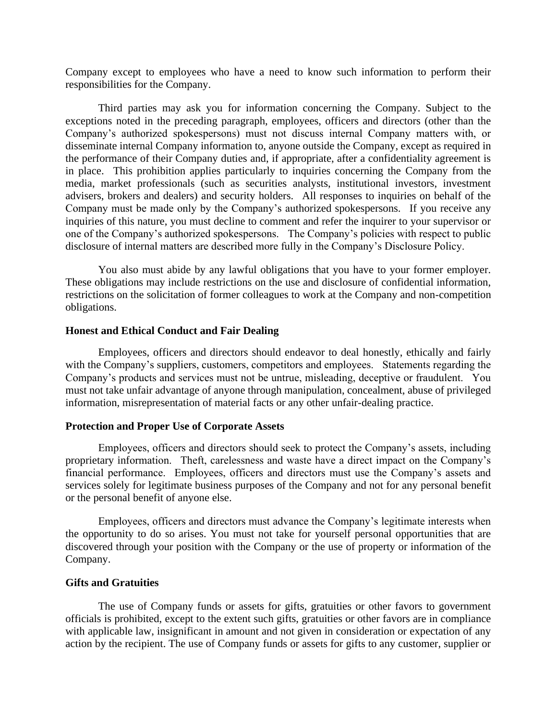Company except to employees who have a need to know such information to perform their responsibilities for the Company.

Third parties may ask you for information concerning the Company. Subject to the exceptions noted in the preceding paragraph, employees, officers and directors (other than the Company's authorized spokespersons) must not discuss internal Company matters with, or disseminate internal Company information to, anyone outside the Company, except as required in the performance of their Company duties and, if appropriate, after a confidentiality agreement is in place. This prohibition applies particularly to inquiries concerning the Company from the media, market professionals (such as securities analysts, institutional investors, investment advisers, brokers and dealers) and security holders. All responses to inquiries on behalf of the Company must be made only by the Company's authorized spokespersons. If you receive any inquiries of this nature, you must decline to comment and refer the inquirer to your supervisor or one of the Company's authorized spokespersons. The Company's policies with respect to public disclosure of internal matters are described more fully in the Company's Disclosure Policy.

You also must abide by any lawful obligations that you have to your former employer. These obligations may include restrictions on the use and disclosure of confidential information, restrictions on the solicitation of former colleagues to work at the Company and non-competition obligations.

### **Honest and Ethical Conduct and Fair Dealing**

Employees, officers and directors should endeavor to deal honestly, ethically and fairly with the Company's suppliers, customers, competitors and employees. Statements regarding the Company's products and services must not be untrue, misleading, deceptive or fraudulent. You must not take unfair advantage of anyone through manipulation, concealment, abuse of privileged information, misrepresentation of material facts or any other unfair-dealing practice.

### **Protection and Proper Use of Corporate Assets**

Employees, officers and directors should seek to protect the Company's assets, including proprietary information. Theft, carelessness and waste have a direct impact on the Company's financial performance. Employees, officers and directors must use the Company's assets and services solely for legitimate business purposes of the Company and not for any personal benefit or the personal benefit of anyone else.

Employees, officers and directors must advance the Company's legitimate interests when the opportunity to do so arises. You must not take for yourself personal opportunities that are discovered through your position with the Company or the use of property or information of the Company.

# **Gifts and Gratuities**

The use of Company funds or assets for gifts, gratuities or other favors to government officials is prohibited, except to the extent such gifts, gratuities or other favors are in compliance with applicable law, insignificant in amount and not given in consideration or expectation of any action by the recipient. The use of Company funds or assets for gifts to any customer, supplier or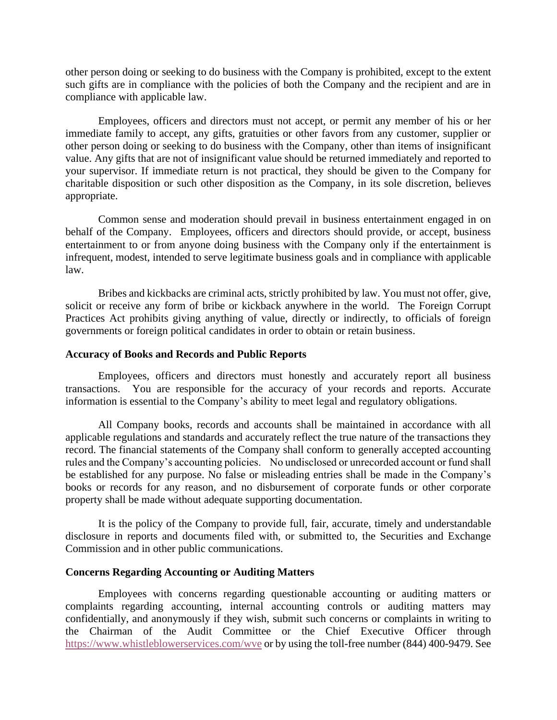other person doing or seeking to do business with the Company is prohibited, except to the extent such gifts are in compliance with the policies of both the Company and the recipient and are in compliance with applicable law.

Employees, officers and directors must not accept, or permit any member of his or her immediate family to accept, any gifts, gratuities or other favors from any customer, supplier or other person doing or seeking to do business with the Company, other than items of insignificant value. Any gifts that are not of insignificant value should be returned immediately and reported to your supervisor. If immediate return is not practical, they should be given to the Company for charitable disposition or such other disposition as the Company, in its sole discretion, believes appropriate.

Common sense and moderation should prevail in business entertainment engaged in on behalf of the Company. Employees, officers and directors should provide, or accept, business entertainment to or from anyone doing business with the Company only if the entertainment is infrequent, modest, intended to serve legitimate business goals and in compliance with applicable law.

Bribes and kickbacks are criminal acts, strictly prohibited by law. You must not offer, give, solicit or receive any form of bribe or kickback anywhere in the world. The Foreign Corrupt Practices Act prohibits giving anything of value, directly or indirectly, to officials of foreign governments or foreign political candidates in order to obtain or retain business.

### **Accuracy of Books and Records and Public Reports**

Employees, officers and directors must honestly and accurately report all business transactions. You are responsible for the accuracy of your records and reports. Accurate information is essential to the Company's ability to meet legal and regulatory obligations.

All Company books, records and accounts shall be maintained in accordance with all applicable regulations and standards and accurately reflect the true nature of the transactions they record. The financial statements of the Company shall conform to generally accepted accounting rules and the Company's accounting policies. No undisclosed or unrecorded account or fund shall be established for any purpose. No false or misleading entries shall be made in the Company's books or records for any reason, and no disbursement of corporate funds or other corporate property shall be made without adequate supporting documentation.

It is the policy of the Company to provide full, fair, accurate, timely and understandable disclosure in reports and documents filed with, or submitted to, the Securities and Exchange Commission and in other public communications.

#### **Concerns Regarding Accounting or Auditing Matters**

Employees with concerns regarding questionable accounting or auditing matters or complaints regarding accounting, internal accounting controls or auditing matters may confidentially, and anonymously if they wish, submit such concerns or complaints in writing to the Chairman of the Audit Committee or the Chief Executive Officer through <https://www.whistleblowerservices.com/wve> or by using the toll-free number (844) 400-9479. See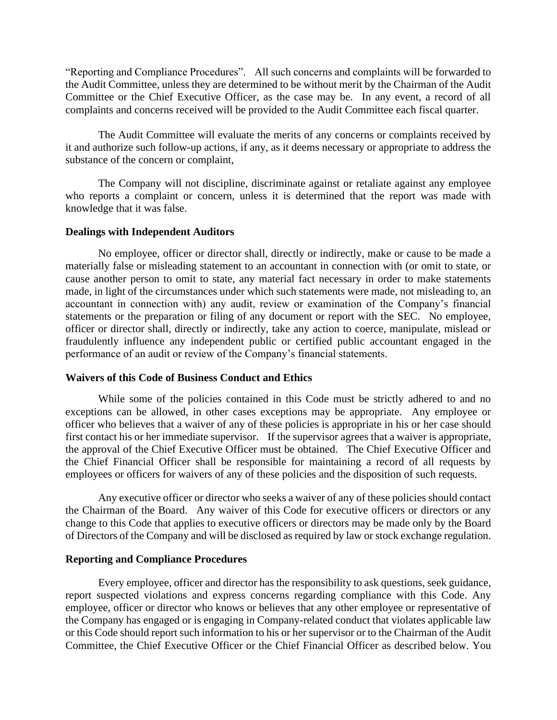"Reporting and Compliance Procedures". All such concerns and complaints will be forwarded to the Audit Committee, unless they are determined to be without merit by the Chairman of the Audit Committee or the Chief Executive Officer, as the case may be. In any event, a record of all complaints and concerns received will be provided to the Audit Committee each fiscal quarter.

The Audit Committee will evaluate the merits of any concerns or complaints received by it and authorize such follow-up actions, if any, as it deems necessary or appropriate to address the substance of the concern or complaint,

The Company will not discipline, discriminate against or retaliate against any employee who reports a complaint or concern, unless it is determined that the report was made with knowledge that it was false.

## **Dealings with Independent Auditors**

No employee, officer or director shall, directly or indirectly, make or cause to be made a materially false or misleading statement to an accountant in connection with (or omit to state, or cause another person to omit to state, any material fact necessary in order to make statements made, in light of the circumstances under which such statements were made, not misleading to, an accountant in connection with) any audit, review or examination of the Company's financial statements or the preparation or filing of any document or report with the SEC. No employee, officer or director shall, directly or indirectly, take any action to coerce, manipulate, mislead or fraudulently influence any independent public or certified public accountant engaged in the performance of an audit or review of the Company's financial statements.

#### **Waivers of this Code of Business Conduct and Ethics**

While some of the policies contained in this Code must be strictly adhered to and no exceptions can be allowed, in other cases exceptions may be appropriate. Any employee or officer who believes that a waiver of any of these policies is appropriate in his or her case should first contact his or her immediate supervisor. If the supervisor agrees that a waiver is appropriate, the approval of the Chief Executive Officer must be obtained. The Chief Executive Officer and the Chief Financial Officer shall be responsible for maintaining a record of all requests by employees or officers for waivers of any of these policies and the disposition of such requests.

Any executive officer or director who seeks a waiver of any of these policies should contact the Chairman of the Board. Any waiver of this Code for executive officers or directors or any change to this Code that applies to executive officers or directors may be made only by the Board of Directors of the Company and will be disclosed as required by law or stock exchange regulation.

#### **Reporting and Compliance Procedures**

Every employee, officer and director has the responsibility to ask questions, seek guidance, report suspected violations and express concerns regarding compliance with this Code. Any employee, officer or director who knows or believes that any other employee or representative of the Company has engaged or is engaging in Company-related conduct that violates applicable law or this Code should report such information to his or her supervisor or to the Chairman of the Audit Committee, the Chief Executive Officer or the Chief Financial Officer as described below. You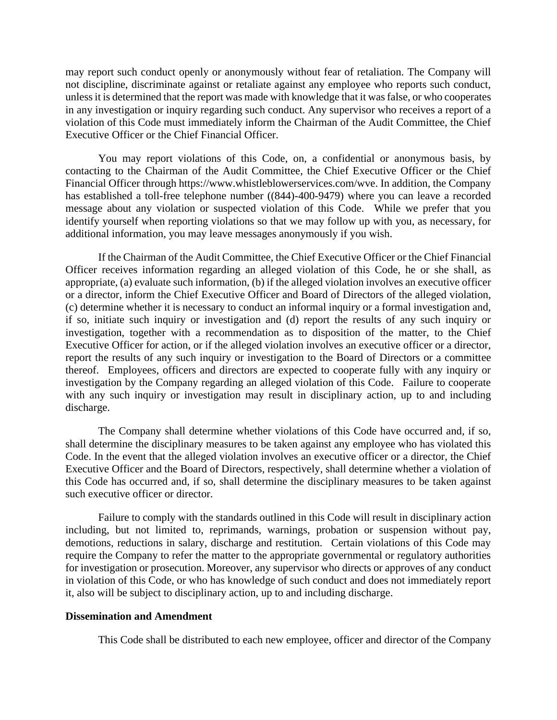may report such conduct openly or anonymously without fear of retaliation. The Company will not discipline, discriminate against or retaliate against any employee who reports such conduct, unless it is determined that the report was made with knowledge that it was false, or who cooperates in any investigation or inquiry regarding such conduct. Any supervisor who receives a report of a violation of this Code must immediately inform the Chairman of the Audit Committee, the Chief Executive Officer or the Chief Financial Officer.

You may report violations of this Code, on, a confidential or anonymous basis, by contacting to the Chairman of the Audit Committee, the Chief Executive Officer or the Chief Financial Officer through https://www.whistleblowerservices.com/wve. In addition, the Company has established a toll-free telephone number ((844)-400-9479) where you can leave a recorded message about any violation or suspected violation of this Code. While we prefer that you identify yourself when reporting violations so that we may follow up with you, as necessary, for additional information, you may leave messages anonymously if you wish.

If the Chairman of the Audit Committee, the Chief Executive Officer or the Chief Financial Officer receives information regarding an alleged violation of this Code, he or she shall, as appropriate, (a) evaluate such information, (b) if the alleged violation involves an executive officer or a director, inform the Chief Executive Officer and Board of Directors of the alleged violation, (c) determine whether it is necessary to conduct an informal inquiry or a formal investigation and, if so, initiate such inquiry or investigation and (d) report the results of any such inquiry or investigation, together with a recommendation as to disposition of the matter, to the Chief Executive Officer for action, or if the alleged violation involves an executive officer or a director, report the results of any such inquiry or investigation to the Board of Directors or a committee thereof. Employees, officers and directors are expected to cooperate fully with any inquiry or investigation by the Company regarding an alleged violation of this Code. Failure to cooperate with any such inquiry or investigation may result in disciplinary action, up to and including discharge.

The Company shall determine whether violations of this Code have occurred and, if so, shall determine the disciplinary measures to be taken against any employee who has violated this Code. In the event that the alleged violation involves an executive officer or a director, the Chief Executive Officer and the Board of Directors, respectively, shall determine whether a violation of this Code has occurred and, if so, shall determine the disciplinary measures to be taken against such executive officer or director.

Failure to comply with the standards outlined in this Code will result in disciplinary action including, but not limited to, reprimands, warnings, probation or suspension without pay, demotions, reductions in salary, discharge and restitution. Certain violations of this Code may require the Company to refer the matter to the appropriate governmental or regulatory authorities for investigation or prosecution. Moreover, any supervisor who directs or approves of any conduct in violation of this Code, or who has knowledge of such conduct and does not immediately report it, also will be subject to disciplinary action, up to and including discharge.

## **Dissemination and Amendment**

This Code shall be distributed to each new employee, officer and director of the Company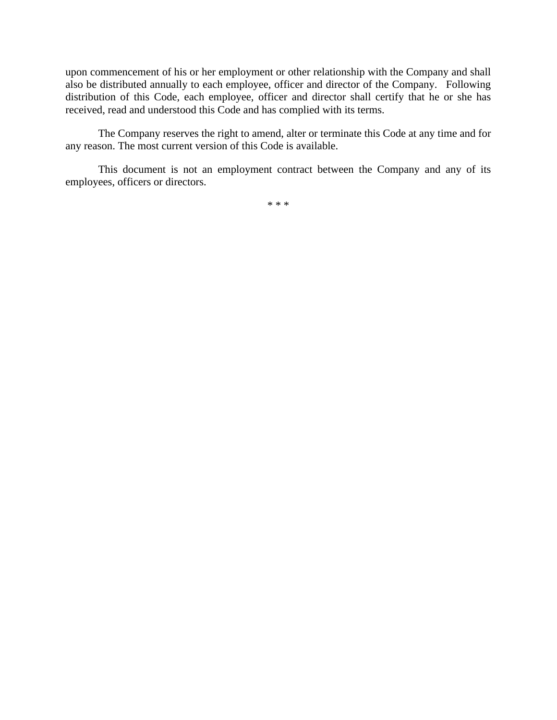upon commencement of his or her employment or other relationship with the Company and shall also be distributed annually to each employee, officer and director of the Company. Following distribution of this Code, each employee, officer and director shall certify that he or she has received, read and understood this Code and has complied with its terms.

The Company reserves the right to amend, alter or terminate this Code at any time and for any reason. The most current version of this Code is available.

This document is not an employment contract between the Company and any of its employees, officers or directors.

\* \* \*